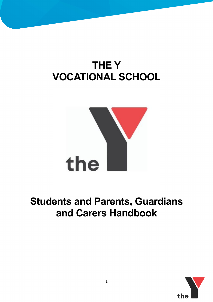# **THE Y VOCATIONAL SCHOOL**



## **Students and Parents, Guardians and Carers Handbook**

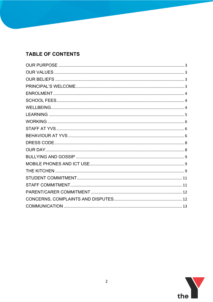## **TABLE OF CONTENTS**

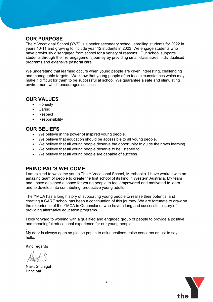## **OUR PURPOSE**

The Y Vocational School (YVS) is a senior secondary school, enrolling students for 2022 in years 10-11 and growing to include year 12 students in 2023. We engage students who have previously disengaged from school for a variety of reasons. Our school supports students through their re-engagement journey by providing small class sizes, individualised programs and extensive pastoral care.

We understand that learning occurs when young people are given interesting, challenging and manageable targets. We know that young people often face circumstances which may make it difficult for them to be successful at school. We guarantee a safe and stimulating environment which encourages success.

## **OUR VALUES**

- Honesty
- Caring
- Respect
- Responsibility

## **OUR BELIEFS**

- We believe in the power of inspired young people.
- We believe that education should be accessible to all young people.
- We believe that all young people deserve the opportunity to guide their own learning.
- We believe that all young people deserve to be listened to.
- We believe that all young people are capable of success.

## **PRINCIPAL'S WELCOME**

I am excited to welcome you to The Y Vocational School, Mirrabooka. I have worked with an amazing team of people to create the first school of its kind in Western Australia. My team and I have designed a space for young people to feel empowered and motivated to learn and to develop into contributing, productive young adults.

The YMCA has a long history of supporting young people to realise their potential and creating a CARE school has been a continuation of this journey. We are fortunate to draw on the experience of the YMCA in Queensland, who have a long and successful history of providing alternative education programs.

I look forward to working with a qualified and engaged group of people to provide a positive and meaningful educational experience for our young people

My door is always open so please pop in to ask questions, raise concerns or just to say hello.

Kind regards

.

Alaint S

Navit Shchigel Principal

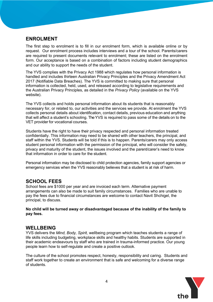#### **ENROLMENT**

The first step to enrolment is to fill in our enrolment form, which is available online or by request. Our enrolment process includes interviews and a tour of the school. Parents/carers are required to present documents relevant to enrolment; these are listed on the enrolment form. Our acceptance is based on a combination of factors including student demographics and our ability to support the needs of the student.

The YVS complies with the Privacy Act 1988 which regulates how personal information is handled and includes thirteen Australian Privacy Principles and the Privacy Amendment Act 2017 (Notifiable Data Breaches). The YVS is committed to making sure that personal information is collected, held, used, and released according to legislative requirements and the Australian Privacy Principles, as detailed in the *Privacy Policy* (available on the YVS website).

The YVS collects and holds personal information about its students that is reasonably necessary for, or related to, our activities and the services we provide. At enrolment the YVS collects personal details about identification, contact details, previous education and anything that will affect a student's schooling. The YVS is required to pass some of the details on to the VET provider for vocational courses.

Students have the right to have their privacy respected and personal information treated confidentially. This information may need to be shared with other teachers, the principal, and staff within the YVS. Students will be told if this is to happen. Parents/carers may only access student personal information with the permission of the principal, who will consider the safety, privacy and maturity of the student, the issues involved and the parent/carer's need to know that information in order to care for the student.

Personal information may be disclosed to child protection agencies, family support agencies or emergency services when the YVS reasonably believes that a student is at risk of harm.

#### **SCHOOL FEES**

School fees are \$1000 per year and are invoiced each term. Alternative payment arrangements can also be made to suit family circumstances. Families who are unable to pay the fees due to financial circumstances are welcome to contact Navit Shchigel, the principal, to discuss.

**No child will be turned away or disadvantaged because of the inability of the family to pay fees.**

#### **WELLBEING**

YVS delivers the *Mind, Body, Spirit,* wellbeing program which teaches students a range of life skills including budgeting, workplace skills and healthy habits. Students are supported in their academic endeavours by staff who are trained in trauma-informed practice. Our young people learn how to self-regulate and create a positive outlook.

The culture of the school promotes respect, honesty, responsibility and caring. Students and staff work together to create an environment that is safe and welcoming for a diverse range of students.

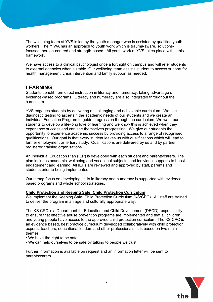The wellbeing team at YVS is led by the youth manager who is assisted by qualified youth workers. The Y WA has an approach to youth work which is trauma-aware, solutionsfocused, person-centred and strength-based. All youth work at YVS takes place within this framework.

We have access to a clinical psychologist once a fortnight on campus and will refer students to external agencies when suitable. Our wellbeing team assists student to access support for health management, crisis intervention and family support as needed.

#### **LEARNING**

Students benefit from direct instruction in literacy and numeracy, taking advantage of evidence-based programs. Literacy and numeracy are also integrated throughout the curriculum.

YVS engages students by delivering a challenging and achievable curriculum. We use diagnostic testing to ascertain the academic needs of our students and we create an Individual Education Program to guide progression through the curriculum. We want our students to develop a life-long love of learning and we know this is achieved when they experience success and can see themselves progressing. We give our students the opportunity to experience academic success by providing access to a range of recognised qualifications. Our goal is that every student leaves us with qualifications which will lead to further employment or tertiary study. Qualifications are delivered by us and by partner registered training organisations.

An Individual Education Plan (IEP) is developed with each student and parents/carers. The plan includes academic, wellbeing and vocational subjects, and individual supports to boost engagement and learning. All IEPs are reviewed and approved by staff, parents and students prior to being implemented.

Our strong focus on developing skills in literacy and numeracy is supported with evidencebased programs and whole school strategies.

#### **Child Protection and Keeping Safe: Child Protection Curriculum**

We implement the Keeping Safe: Child Protection Curriculum (KS:CPC). All staff are trained to deliver the program in an age and culturally appropriate way.

The KS:CPC is a Department for Education and Child Development (DECD) responsibility, to ensure that effective abuse prevention programs are implemented and that all children and young people have access to the approved child protection curriculum. The KS:CPC is an evidence based, best practice curriculum developed collaboratively with child protection experts, teachers, educational leaders and other professionals. It is based on two main themes:

- We have the right to be safe.
- We can help ourselves to be safe by talking to people we trust.

Further information is available on request and an information letter will be sent to parents/carers.

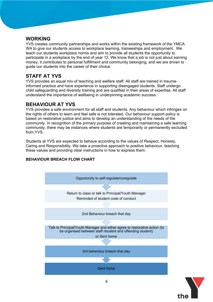#### **WORKING**

YVS creates community partnerships and works within the existing framework of the YMCA WA to give our students access to workplace learning, traineeships and employment. We teach our students workplace norms and aim to provide all students the opportunity to participate in a workplace by the end of year 12. We know that a job is not just about earning money, it contributes to personal fulfillment and community belonging, and we are driven to guide our students into the career of their choice.

## **STAFF AT YVS**

YVS provides an equal mix of teaching and welfare staff. All staff are trained in traumainformed practice and have experience in supporting disengaged students. Staff undergo child safeguarding and diversity training and are qualified in their areas of expertise. All staff understand the importance of wellbeing in underpinning academic success.

### **BEHAVIOUR AT YVS**

YVS provides a safe environment for all staff and students. Any behaviour which infringes on the rights of others to learn and feel safe is not tolerated. Our behaviour support policy is based on restorative justice and aims to develop an understanding of the needs of the community. In recognition of the primary purpose of creating and maintaining a safe learning community, there may be instances where students are temporarily or permanently excluded from YVS

Students at YVS are expected to behave according to the values of Respect, Honesty, Caring and Responsibility. We take a proactive approach to positive behaviour, teaching these values and providing clear instructions in how to express them.



#### **BEHAVIOUR BREACH FLOW CHART**

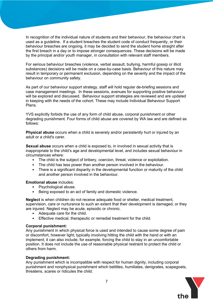In recognition of the individual nature of students and their behaviour, the behaviour chart is used as a guideline. If a student breaches the student code of conduct frequently, or their behaviour breaches are ongoing, it may be decided to send the student home straight after the first breach in a day or to impose stronger consequences. These decisions will be made by the principal and/or youth manager, in consultation with relevant staff members.

For serious behaviour breaches (violence, verbal assault, bullying, harmful gossip or illicit substances) decisions will be made on a case-by-case basis. Behaviour of this nature may result in temporary or permanent exclusion, depending on the severity and the impact of the behaviour on community safety.

As part of our behaviour support strategy, staff will hold regular de-briefing sessions and case management meetings. In these sessions, avenues for supporting positive behaviour will be explored and discussed. Behaviour support strategies are reviewed and are updated in keeping with the needs of the cohort. These may include Individual Behaviour Support Plans.

YVS explicitly forbids the use of any form of child abuse, corporal punishment or other degrading punishment. Four forms of child abuse are covered by WA law and are defined as follows:

**Physical abuse** occurs when a child is severely and/or persistently hurt or injured by an adult or a child's carer.

**Sexual abuse** occurs when a child is exposed to, in involved in sexual activity that is inappropriate to the child's age and developmental level, and includes sexual behaviour in circumstances where:

- The child is the subject of bribery, coercion, threat, violence or exploitation.
- The child has less power than another person involved in the behaviour.
- There is a significant disparity in the developmental function or maturity of the child and another person involved in the behaviour.

#### **Emotional abuse** includes:

- Psychological abuse.
- Being exposed to an act of family and domestic violence.

**Neglect** is when children do not receive adequate food or shelter, medical treatment, supervision, care or nurturance to such an extent that their development is damaged, or they are injured. Neglect may be acute, episodic or chronic.

- Adequate care for the child.
- Effective medical, therapeutic or remedial treatment for the child.

#### **Corporal punishment:**

Any punishment in which physical force is used and intended to cause some degree of pain or discomfort, however light; typically involving hitting the child with the hand or with an implement; it can also include, for example, forcing the child to stay in an uncomfortable position. It does not include the use of reasonable physical restraint to protect the child or others from harm.

#### **Degrading punishment:**

Any punishment which is incompatible with respect for human dignity, including corporal punishment and nonphysical punishment which belittles, humiliates, denigrates, scapegoats, threatens, scares or ridicules the child.

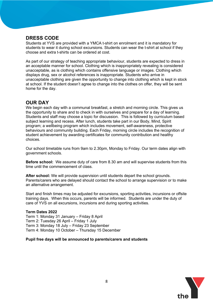## **DRESS CODE**

Students at YVS are provided with a YMCA t-shirt on enrolment and it is mandatory for students to wear it during school excursions. Students can wear the t-shirt at school if they choose and extra t-shirts can be ordered at cost.

As part of our strategy of teaching appropriate behaviour, students are expected to dress in an acceptable manner for school. Clothing which is inappropriately revealing is considered unacceptable, as is clothing which contains offensive language or images. Clothing which displays drug, sex or alcohol references is inappropriate. Students who arrive in unacceptable clothing are given the opportunity to change into clothing which is kept in stock at school. If the student doesn't agree to change into the clothes on offer, they will be sent home for the day.

## **OUR DAY**

We begin each day with a communal breakfast, a stretch and morning circle. This gives us the opportunity to share and to check in with ourselves and prepare for a day of learning. Students and staff may choose a topic for discussion. This is followed by curriculum based subject learning and recess. After lunch, students take part in our Body, Mind, Spirit program; a wellbeing program which includes movement, self-awareness, protective behaviours and community building. Each Friday, morning circle includes the recognition of student achievement by awarding certificates for community contribution and healthy choices.

Our school timetable runs from 9am to 2.30pm, Monday to Friday. Our term dates align with government schools.

**Before school:** We assume duty of care from 8.30 am and will supervise students from this time until the commencement of class.

**After school:** We will provide supervision until students depart the school grounds. Parents/carers who are delayed should contact the school to arrange supervision or to make an alternative arrangement.

Start and finish times may be adjusted for excursions, sporting activities, incursions or offsite training days. When this occurs, parents will be informed. Students are under the duty of care of YVS on all excursions, incursions and during sporting activities.

#### **Term Dates 2022**

Term 1: Monday 31 January – Friday 8 April Term 2: Tuesday 26 April – Friday 1 July Term 3: Monday 18 July – Friday 23 September Term 4: Monday 10 October – Thursday 15 December

#### **Pupil free days will be announced to parents/carers and students**

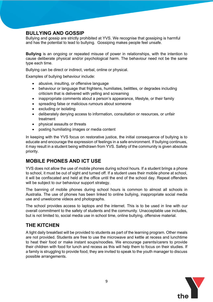## **BULLYING AND GOSSIP**

Bullying and gossip are strictly prohibited at YVS. We recognise that gossiping is harmful and has the potential to lead to bullying. Gossiping makes people feel unsafe.

**Bullying** is an ongoing or repeated misuse of power in relationships, with the intention to cause deliberate physical and/or psychological harm. The behaviour need not be the same type each time.

Bullying can be direct or indirect, verbal, online or physical.

Examples of bullying behaviour include:

- abusive, insulting, or offensive language
- behaviour or language that frightens, humiliates, belittles, or degrades including criticism that is delivered with yelling and screaming
- inappropriate comments about a person's appearance, lifestyle, or their family
- spreading false or malicious rumours about someone
- excluding or isolating
- deliberately denying access to information, consultation or resources, or unfair treatment
- physical assaults or threats
- posting humiliating images or media content

In keeping with the YVS focus on restorative justice, the initial consequence of bullying is to educate and encourage the expression of feelings in a safe environment. If bullying continues, it may result in a student being withdrawn from YVS. Safety of the community is given absolute priority.

## **MOBILE PHONES AND ICT USE**

YVS does not allow the use of mobile phones during school hours. If a student brings a phone to school, it must be out of sight and turned off. If a student uses their mobile phone at school, it will be confiscated and held at the office until the end of the school day. Repeat offenders will be subject to our behaviour support strategy.

The banning of mobile phones during school hours is common to almost all schools in Australia. The use of phones has been linked to online bullying, inappropriate social media use and unwelcome videos and photographs.

The school provides access to laptops and the internet. This is to be used in line with our overall commitment to the safety of students and the community. Unacceptable use includes, but is not limited to, social media use in school time, online bullying, offensive material.

### **THE KITCHEN**

A light daily breakfast will be provided to students as part of the learning program. Other meals are not provided. Students are free to use the microwave and kettle at recess and lunchtime to heat their food or make instant soups/noodles. We encourage parents/carers to provide their children with food for lunch and recess as this will help them to focus on their studies. If a family is struggling to provide food, they are invited to speak to the youth manager to discuss possible arrangements.

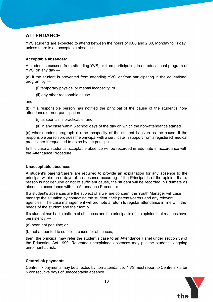## **ATTENDANCE**

YVS students are expected to attend between the hours of 9.00 and 2.30, Monday to Friday unless there is an acceptable absence.

#### **Acceptable absences:**

A student is excused from attending YVS, or from participating in an educational program of YVS, on any day —

(a) if the student is prevented from attending YVS, or from participating in the educational program by —

- (i) temporary physical or mental incapacity; or
- (ii) any other reasonable cause.

and

(b) if a responsible person has notified the principal of the cause of the student's nonattendance or non-participation —

(i) as soon as is practicable; and

(ii) in any case within 3 school days of the day on which the non-attendance started

(c) where under paragraph (b) the incapacity of the student is given as the cause; if the responsible person provides the principal with a certificate in support from a registered medical practitioner if requested to do so by the principal.

In this case a student's acceptable absence will be recorded in Edumate in accordance with the Attendance Procedure.

#### **Unacceptable absences:**

A student's parents/carers are required to provide an explanation for any absence to the principal within three days of an absence occurring. If the Principal is of the opinion that a reason is not genuine or not of sufficient cause, the student will be recorded in Edumate as absent in accordance with the Attendance Procedure

If a student's absences are the subject of a welfare concern, the Youth Manager will case manage the situation by contacting the student, their parents/carers and any relevant agencies. The case management will promote a return to regular attendance in line with the needs of the student and their family.

If a student has had a pattern of absences and the principal is of the opinion that reasons have persistently —

- (a) been not genuine; or
- (b) not amounted to sufficient cause for absences,

then, the principal may refer the student's case to an Attendance Panel under section 39 of the Education Act 1999. Repeated unexplained absences may put the student's ongoing enrolment at risk.

#### **Centrelink payments**

Centrelink payments may be affected by non-attendance. YVS must report to Centrelink after 5 consecutive days of unacceptable absence.

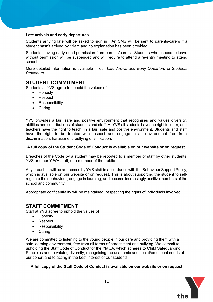#### **Late arrivals and early departures**

Students arriving late will be asked to sign in. An SMS will be sent to parents/carers if a student hasn't arrived by 11am and no explanation has been provided.

Students leaving early need permission from parents/carers. Students who choose to leave without permission will be suspended and will require to attend a re-entry meeting to attend school.

More detailed information is available in our *Late Arrival and Early Departure of Students Procedure*.

### **STUDENT COMMITMENT**

Students at YVS agree to uphold the values of

- Honesty
- Respect
- Responsibility
- Caring

YVS provides a fair, safe and positive environment that recognises and values diversity, abilities and contributions of students and staff. At YVS all students have the right to learn, and teachers have the right to teach**,** in a fair, safe and positive environment. Students and staff have the right to be treated with respect and engage in an environment free from discrimination, harassment, bullying or vilification.

#### **A full copy of the Student Code of Conduct is available on our website or on request.**

Breaches of the Code by a student may be reported to a member of staff by other students, YVS or other Y WA staff, or a member of the public.

Any breaches will be addressed by YVS staff in accordance with the Behaviour Support Policy, which is available on our website or on request. This is about supporting the student to selfregulate their behaviour, engage in learning, and become increasingly positive members of the school and community.

Appropriate confidentiality will be maintained, respecting the rights of individuals involved.

#### **STAFF COMMITMENT**

Staff at YVS agree to uphold the values of

- Honesty
- Respect
- Responsibility
- Caring

We are committed to listening to the young people in our care and providing them with a safe learning environment, free from all forms of harassment and bullying. We commit to upholding the Staff Code of Conduct for the YMCA, which adheres to Child Safeguarding Principles and to valuing diversity, recognising the academic and social/emotional needs of our cohort and to acting in the best interest of our students.

#### **A full copy of the Staff Code of Conduct is available on our website or on request**

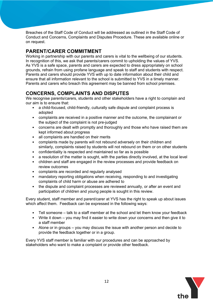Breaches of the Staff Code of Conduct will be addressed as outlined in the Staff Code of Conduct and Concerns, Complaints and Disputes Procedure. These are available online or on request.

## **PARENT/CARER COMMITMENT**

Working in partnership with our parents and carers is vital to the wellbeing of our students. In recognition of this, we ask that parents/carers commit to upholding the values of YVS. As YVS is a safe space, parents and carers are expected to dress appropriately on school grounds, refrain from using profane language and speak to staff and students with respect. Parents and carers should provide YVS with up to date information about their child and ensure that all information relevant to the school is submitted to YVS in a timely manner. Parents and carers who breach this agreement may be banned from school premises.

## **CONCERNS, COMPLAINTS AND DISPUTES**

We recognise parents/carers, students and other stakeholders have a right to complain and our aim is to ensure that:

- a child-focused, child-friendly, culturally safe dispute and complaint process is adopted
- complaints are received in a positive manner and the outcome, the complainant or the subject of the complaint is not pre-judged
- concerns are dealt with promptly and thoroughly and those who have raised them are kept informed about progress
- all complaints are handled on their merits
- complaints made by parents will not rebound adversely on their children and similarly, complaints raised by students will not rebound on them or on other students
- confidentiality is respected and maintained so far as is possible
- a resolution of the matter is sought, with the parties directly involved, at the local level
- children and staff are engaged in the review processes and provide feedback on review outcomes
- complaints are recorded and regularly analysed
- mandatory reporting obligations when receiving, responding to and investigating complaints of child harm or abuse are adhered to
- the dispute and complaint processes are reviewed annually, or after an event and participation of children and young people is sought in this review.

Every student, staff member and parent/carer at YVS has the right to speak up about issues which affect them. Feedback can be expressed in the following ways:

- Tell someone talk to a staff member at the school and let them know your feedback
- Write it down you may find it easier to write down your concerns and then give it to a staff member
- Alone or in groups you may discuss the issue with another person and decide to provide the feedback together or in a group.

Every YVS staff member is familiar with our procedures and can be approached by stakeholders who want to make a complaint or provide other feedback.